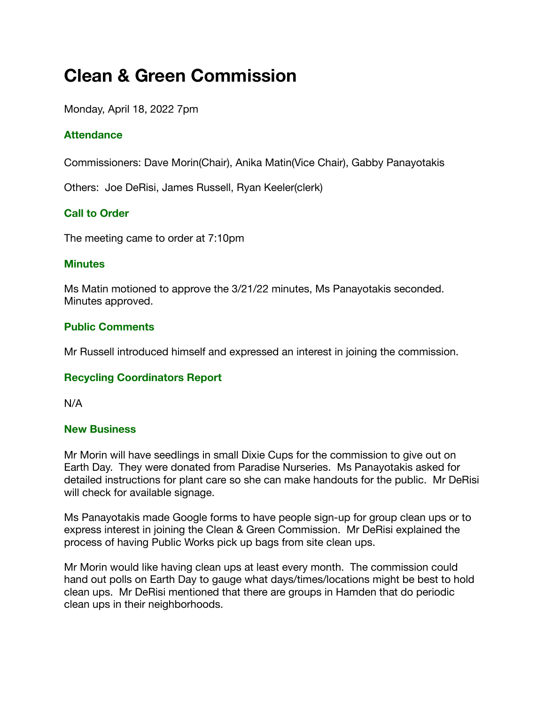# **Clean & Green Commission**

Monday, April 18, 2022 7pm

# **Attendance**

Commissioners: Dave Morin(Chair), Anika Matin(Vice Chair), Gabby Panayotakis

Others: Joe DeRisi, James Russell, Ryan Keeler(clerk)

# **Call to Order**

The meeting came to order at 7:10pm

#### **Minutes**

Ms Matin motioned to approve the 3/21/22 minutes, Ms Panayotakis seconded. Minutes approved.

## **Public Comments**

Mr Russell introduced himself and expressed an interest in joining the commission.

## **Recycling Coordinators Report**

N/A

#### **New Business**

Mr Morin will have seedlings in small Dixie Cups for the commission to give out on Earth Day. They were donated from Paradise Nurseries. Ms Panayotakis asked for detailed instructions for plant care so she can make handouts for the public. Mr DeRisi will check for available signage.

Ms Panayotakis made Google forms to have people sign-up for group clean ups or to express interest in joining the Clean & Green Commission. Mr DeRisi explained the process of having Public Works pick up bags from site clean ups.

Mr Morin would like having clean ups at least every month. The commission could hand out polls on Earth Day to gauge what days/times/locations might be best to hold clean ups. Mr DeRisi mentioned that there are groups in Hamden that do periodic clean ups in their neighborhoods.